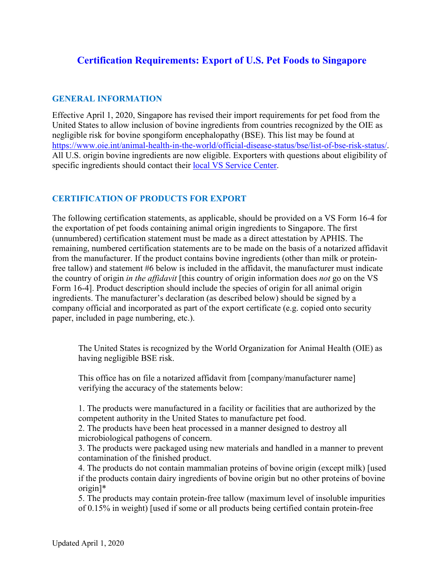## **Certification Requirements: Export of U.S. Pet Foods to Singapore**

## **GENERAL INFORMATION**

Effective April 1, 2020, Singapore has revised their import requirements for pet food from the United States to allow inclusion of bovine ingredients from countries recognized by the OIE as negligible risk for bovine spongiform encephalopathy (BSE). This list may be found at [https://www.oie.int/animal-health-in-the-world/official-disease-status/bse/list-of-bse-risk-status/.](https://www.oie.int/animal-health-in-the-world/official-disease-status/bse/list-of-bse-risk-status/) All U.S. origin bovine ingredients are now eligible. Exporters with questions about eligibility of specific ingredients should contact their [local VS Service Center.](https://www.aphis.usda.gov/animal_health/contacts/field-operations-export-trade.pdf)

## **CERTIFICATION OF PRODUCTS FOR EXPORT**

The following certification statements, as applicable, should be provided on a VS Form 16-4 for the exportation of pet foods containing animal origin ingredients to Singapore. The first (unnumbered) certification statement must be made as a direct attestation by APHIS. The remaining, numbered certification statements are to be made on the basis of a notarized affidavit from the manufacturer. If the product contains bovine ingredients (other than milk or proteinfree tallow) and statement #6 below is included in the affidavit, the manufacturer must indicate the country of origin *in the affidavit* [this country of origin information does *not* go on the VS Form 16-4]. Product description should include the species of origin for all animal origin ingredients. The manufacturer's declaration (as described below) should be signed by a company official and incorporated as part of the export certificate (e.g. copied onto security paper, included in page numbering, etc.).

The United States is recognized by the World Organization for Animal Health (OIE) as having negligible BSE risk.

This office has on file a notarized affidavit from [company/manufacturer name] verifying the accuracy of the statements below:

1. The products were manufactured in a facility or facilities that are authorized by the competent authority in the United States to manufacture pet food.

2. The products have been heat processed in a manner designed to destroy all microbiological pathogens of concern.

3. The products were packaged using new materials and handled in a manner to prevent contamination of the finished product.

4. The products do not contain mammalian proteins of bovine origin (except milk) [used if the products contain dairy ingredients of bovine origin but no other proteins of bovine origin]\*

5. The products may contain protein-free tallow (maximum level of insoluble impurities of 0.15% in weight) [used if some or all products being certified contain protein-free